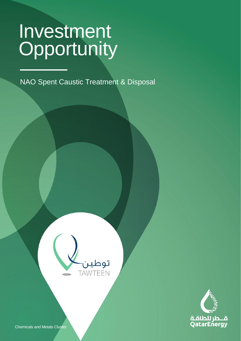CLASSIFICATION: C2 - CONFIDENTIAL

NAO Spent Caustic Treatment & Disposal

**Light Equipment Business Services & Other**





Chemicals and Metals Cluster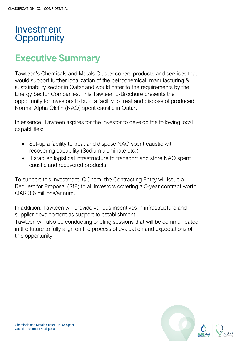

# **Executive Summary**

Tawteen's Chemicals and Metals Cluster covers products and services that would support further localization of the petrochemical, manufacturing & sustainability sector in Qatar and would cater to the requirements by the Energy Sector Companies. This Tawteen E-Brochure presents the opportunity for investors to build a facility to treat and dispose of produced Normal Alpha Olefin (NAO) spent caustic in Qatar.

In essence, Tawteen aspires for the Investor to develop the following local capabilities:

- Set-up a facility to treat and dispose NAO spent caustic with recovering capability (Sodium aluminate etc.)
- Establish logistical infrastructure to transport and store NAO spent caustic and recovered products.

To support this investment, QChem, the Contracting Entity will issue a Request for Proposal (RfP) to all Investors covering a 5-year contract worth QAR 3.6 millions/annum.

In addition, Tawteen will provide various incentives in infrastructure and supplier development as support to establishment.

Tawteen will also be conducting briefing sessions that will be communicated in the future to fully align on the process of evaluation and expectations of this opportunity.

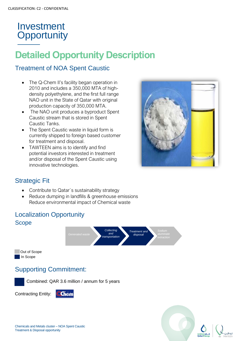# **Detailed Opportunity Description**

#### Treatment of NOA Spent Caustic

- The Q-Chem II's facility began operation in 2010 and includes a 350,000 MTA of highdensity polyethylene, and the first full range NAO unit in the State of Qatar with original production capacity of 350,000 MTA.
- The NAO unit produces a byproduct Spent Caustic stream that is stored in Spent Caustic Tanks.
- The Spent Caustic waste in liquid form is currently shipped to foreign based customer for treatment and disposal.
- TAWTEEN aims is to identify and find potential investors interested in treatment and/or disposal of the Spent Caustic using innovative technologies.



#### Strategic Fit

- Contribute to Qatar`s sustainability strategy
- Reduce dumping in landfills & greenhouse emissions
- Reduce environmental impact of Chemical waste

#### Localization Opportunity Scope



Supporting Commitment:

Combined: QAR 3.6 million / annum for 5 years

Contracting Entity:

Out of Scope In Scope



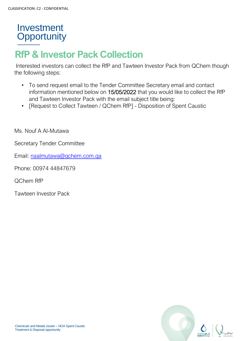# **RfP & Investor Pack Collection**

Interested investors can collect the RfP and Tawteen Investor Pack from QChem though the following steps:

- To send request email to the Tender Committee Secretary email and contact information mentioned below on 15/05/2022 that you would like to collect the RfP and Tawteen Investor Pack with the email subject title being:
- [Request to Collect Tawteen / QChem RfP] Disposition of Spent Caustic

Ms. Nouf A Al-Mutawa

Secretary Tender Committee

Email: [naalmutawa@qchem.com.qa](mailto:naalmutawa@qchem.com.qa)

Phone: 00974 44847679

QChem RfP

Tawteen Investor Pack